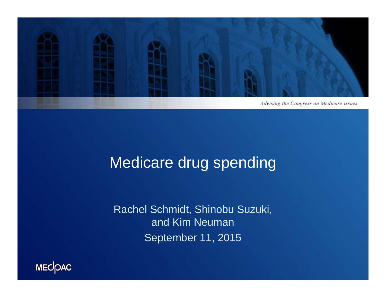

### Medicare drug spending

Rachel Schmidt, Shinobu Suzuki, and Kim Neuman September 11, 2015

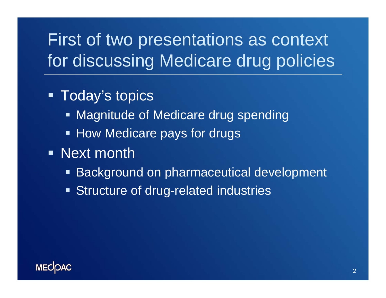# First of two presentations as context for discussing Medicare drug policies

### **- Today's topics**

- **Magnitude of Medicare drug spending**
- **How Medicare pays for drugs**
- **Next month** 
	- **Background on pharmaceutical development**
	- **Structure of drug-related industries**

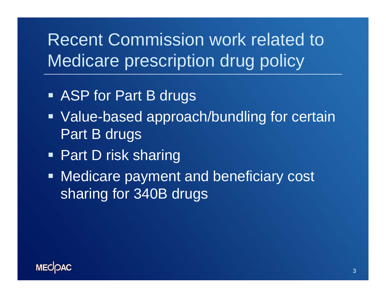# Recent Commission work related to Medicare prescription drug policy

- **ASP for Part B drugs**
- **Value-based approach/bundling for certain** Part B drugs
- Part D risk sharing
- **Medicare payment and beneficiary cost** sharing for 340B drugs

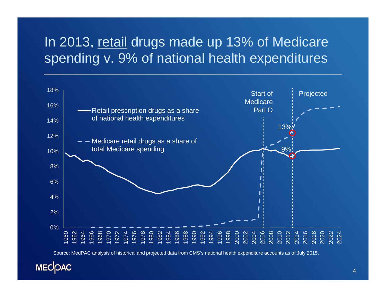### In 2013, retail drugs made up 13% of Medicare spending v. 9% of national health expenditures



Source: MedPAC analysis of historical and projected data from CMS's national health expenditure accounts as of July 2015.

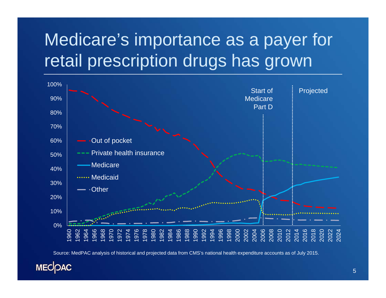# Medicare's importance as a payer for retail prescription drugs has grown



Source: MedPAC analysis of historical and projected data from CMS's national health expenditure accounts as of July 2015.

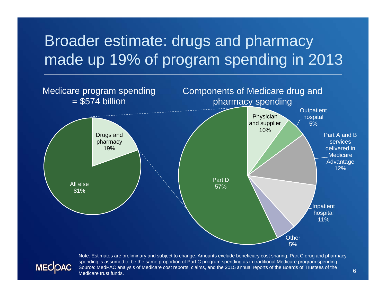### Broader estimate: drugs and pharmacy made up 19% of program spending in 2013



Note: Estimates are preliminary and subject to change. Amounts exclude beneficiary cost sharing. Part C drug and pharmacy spending is assumed to be the same proportion of Part C program spending as in traditional Medicare program spending. Source: MedPAC analysis of Medicare cost reports, claims, and the 2015 annual reports of the Boards of Trustees of the Medicare trust funds.

**MECOAC**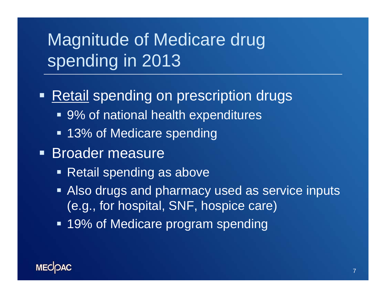# Magnitude of Medicare drug spending in 2013

#### $\qquad \qquad \blacksquare$ **Retail spending on prescription drugs**

- 9% of national health expenditures
- 13% of Medicare spending
- **Broader measure** 
	- **Retail spending as above**
	- **Also drugs and pharmacy used as service inputs** (e.g., for hospital, SNF, hospice care)
	- **19% of Medicare program spending**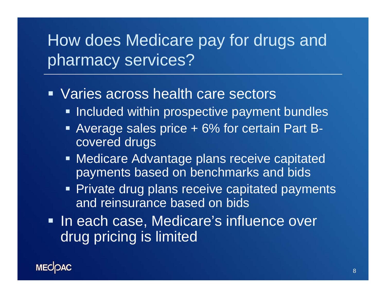## How does Medicare pay for drugs and pharmacy services?

#### **URIGE ACTOSS health care sectors**

- **Included within prospective payment bundles**
- Average sales price + 6% for certain Part Bcovered drugs
- **Medicare Advantage plans receive capitated** payments based on benchmarks and bids
- **Private drug plans receive capitated payments** and reinsurance based on bids
- **In each case, Medicare's influence over** drug pricing is limited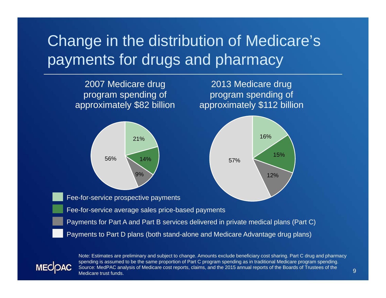### Change in the distribution of Medicare's payments for drugs and pharmacy



**MECOAC** 

Note: Estimates are preliminary and subject to change. Amounts exclude beneficiary cost sharing. Part C drug and pharmacy spending is assumed to be the same proportion of Part C program spending as in traditional Medicare program spending. Source: MedPAC analysis of Medicare cost reports, claims, and the 2015 annual reports of the Boards of Trustees of the Medicare trust funds.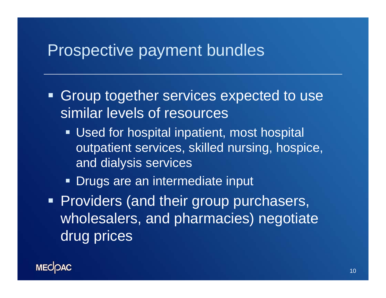### Prospective payment bundles

- Ξ Group together services expected to use similar levels of resources
	- **Used for hospital inpatient, most hospital** outpatient services, skilled nursing, hospice, and dialysis services
	- **Drugs are an intermediate input**
- **Providers (and their group purchasers,** wholesalers, and pharmacies) negotiate drug prices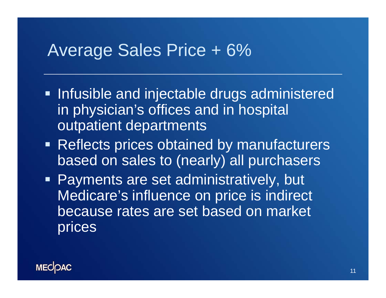### Average Sales Price + 6%

- **Infusible and injectable drugs administered** in physician's offices and in hospital outpatient departments
- **Reflects prices obtained by manufacturers** based on sales to (nearly) all purchasers
- Payments are set administratively, but Medicare's influence on price is indirect because rates are set based on market prices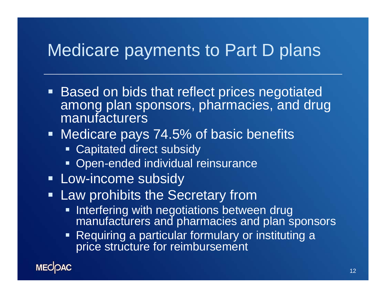### Medicare payments to Part D plans

- **Based on bids that reflect prices negotiated** among plan sponsors, pharmacies, and drug manufacturers
- **Medicare pays 74.5% of basic benefits** 
	- **Example 2** Capitated direct subsidy
	- **Open-ended individual reinsurance**
- **Low-income subsidy**
- **Example 1 Law prohibits the Secretary from** 
	- $\blacksquare$ Interfering with negotiations between drug manufacturers and pharmacies and plan sponsors
	- **Requiring a particular formulary or instituting a** price structure for reimbursement

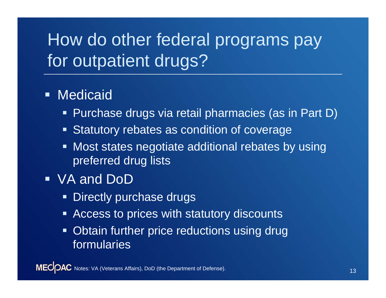# How do other federal programs pay for outpatient drugs?

#### **• Medicaid**

- $\blacksquare$ Purchase drugs via retail pharmacies (as in Part D)
- $\blacksquare$ Statutory rebates as condition of coverage
- $\blacksquare$  Most states negotiate additional rebates by using preferred drug lists
- VA and DoD
	- $\blacksquare$ Directly purchase drugs
	- $\blacksquare$ Access to prices with statutory discounts
	- $\blacksquare$  Obtain further price reductions using drug formularies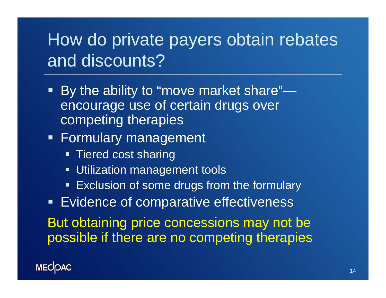## How do private payers obtain rebates and discounts?

- By the ability to "move market share" encourage use of certain drugs over competing therapies
- **Formulary management** 
	- **Tiered cost sharing**
	- **Utilization management tools**
	- **Exclusion of some drugs from the formulary**

**Evidence of comparative effectiveness** 

But obtaining price concessions may not be possible if there are no competing therapies